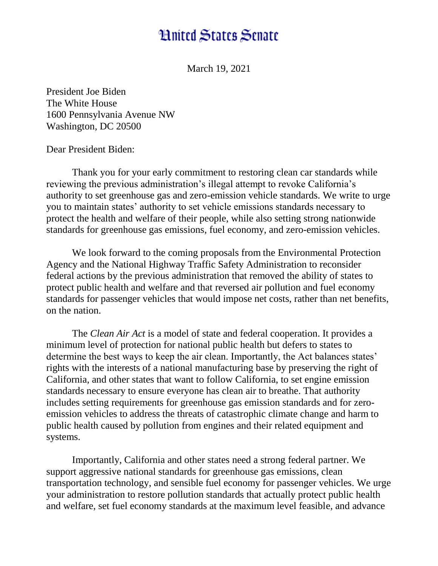## **Hnited States Senate**

March 19, 2021

President Joe Biden The White House 1600 Pennsylvania Avenue NW Washington, DC 20500

Dear President Biden:

Thank you for your early commitment to restoring clean car standards while reviewing the previous administration's illegal attempt to revoke California's authority to set greenhouse gas and zero-emission vehicle standards. We write to urge you to maintain states' authority to set vehicle emissions standards necessary to protect the health and welfare of their people, while also setting strong nationwide standards for greenhouse gas emissions, fuel economy, and zero-emission vehicles.

We look forward to the coming proposals from the Environmental Protection Agency and the National Highway Traffic Safety Administration to reconsider federal actions by the previous administration that removed the ability of states to protect public health and welfare and that reversed air pollution and fuel economy standards for passenger vehicles that would impose net costs, rather than net benefits, on the nation.

The *Clean Air Act* is a model of state and federal cooperation. It provides a minimum level of protection for national public health but defers to states to determine the best ways to keep the air clean. Importantly, the Act balances states' rights with the interests of a national manufacturing base by preserving the right of California, and other states that want to follow California, to set engine emission standards necessary to ensure everyone has clean air to breathe. That authority includes setting requirements for greenhouse gas emission standards and for zeroemission vehicles to address the threats of catastrophic climate change and harm to public health caused by pollution from engines and their related equipment and systems.

Importantly, California and other states need a strong federal partner. We support aggressive national standards for greenhouse gas emissions, clean transportation technology, and sensible fuel economy for passenger vehicles. We urge your administration to restore pollution standards that actually protect public health and welfare, set fuel economy standards at the maximum level feasible, and advance